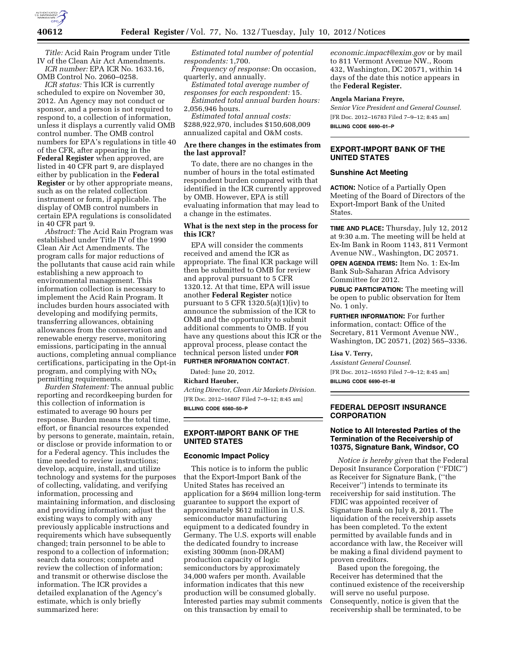

*Title:* Acid Rain Program under Title IV of the Clean Air Act Amendments. *ICR number:* EPA ICR No. 1633.16,

OMB Control No. 2060–0258. *ICR status:* This ICR is currently scheduled to expire on November 30, 2012. An Agency may not conduct or sponsor, and a person is not required to respond to, a collection of information, unless it displays a currently valid OMB control number. The OMB control numbers for EPA's regulations in title 40 of the CFR, after appearing in the **Federal Register** when approved, are listed in 40 CFR part 9, are displayed either by publication in the **Federal Register** or by other appropriate means, such as on the related collection instrument or form, if applicable. The display of OMB control numbers in certain EPA regulations is consolidated

in 40 CFR part 9. *Abstract:* The Acid Rain Program was established under Title IV of the 1990 Clean Air Act Amendments. The program calls for major reductions of the pollutants that cause acid rain while establishing a new approach to environmental management. This information collection is necessary to implement the Acid Rain Program. It includes burden hours associated with developing and modifying permits, transferring allowances, obtaining allowances from the conservation and renewable energy reserve, monitoring emissions, participating in the annual auctions, completing annual compliance certifications, participating in the Opt-in program, and complying with  $NO<sub>x</sub>$ permitting requirements.

*Burden Statement:* The annual public reporting and recordkeeping burden for this collection of information is estimated to average 90 hours per response. Burden means the total time, effort, or financial resources expended by persons to generate, maintain, retain, or disclose or provide information to or for a Federal agency. This includes the time needed to review instructions; develop, acquire, install, and utilize technology and systems for the purposes of collecting, validating, and verifying information, processing and maintaining information, and disclosing and providing information; adjust the existing ways to comply with any previously applicable instructions and requirements which have subsequently changed; train personnel to be able to respond to a collection of information; search data sources; complete and review the collection of information; and transmit or otherwise disclose the information. The ICR provides a detailed explanation of the Agency's estimate, which is only briefly summarized here:

*Estimated total number of potential respondents:* 1,700.

*Frequency of response:* On occasion, quarterly, and annually.

*Estimated total average number of responses for each respondent:* 15.

*Estimated total annual burden hours:*  2,056,946 hours.

*Estimated total annual costs:*  \$288,922,970, includes \$150,608,009 annualized capital and O&M costs.

## **Are there changes in the estimates from the last approval?**

To date, there are no changes in the number of hours in the total estimated respondent burden compared with that identified in the ICR currently approved by OMB. However, EPA is still evaluating information that may lead to a change in the estimates.

## **What is the next step in the process for this ICR?**

EPA will consider the comments received and amend the ICR as appropriate. The final ICR package will then be submitted to OMB for review and approval pursuant to 5 CFR 1320.12. At that time, EPA will issue another **Federal Register** notice pursuant to 5 CFR 1320.5(a)(1)(iv) to announce the submission of the ICR to OMB and the opportunity to submit additional comments to OMB. If you have any questions about this ICR or the approval process, please contact the technical person listed under **FOR FURTHER INFORMATION CONTACT**.

Dated: June 20, 2012.

**Richard Haeuber,** 

*Acting Director, Clean Air Markets Division.*  [FR Doc. 2012–16807 Filed 7–9–12; 8:45 am] **BILLING CODE 6560–50–P** 

**EXPORT-IMPORT BANK OF THE UNITED STATES** 

#### **Economic Impact Policy**

This notice is to inform the public that the Export-Import Bank of the United States has received an application for a \$694 million long-term guarantee to support the export of approximately \$612 million in U.S. semiconductor manufacturing equipment to a dedicated foundry in Germany. The U.S. exports will enable the dedicated foundry to increase existing 300mm (non-DRAM) production capacity of logic semiconductors by approximately 34,000 wafers per month. Available information indicates that this new production will be consumed globally. Interested parties may submit comments on this transaction by email to

*[economic.impact@exim.gov](mailto:economic.impact@exim.gov)* or by mail to 811 Vermont Avenue NW., Room 432, Washington, DC 20571, within 14 days of the date this notice appears in the **Federal Register.** 

#### **Angela Mariana Freyre,**

*Senior Vice President and General Counsel.*  [FR Doc. 2012–16783 Filed 7–9–12; 8:45 am] **BILLING CODE 6690–01–P** 

# **EXPORT-IMPORT BANK OF THE UNITED STATES**

#### **Sunshine Act Meeting**

**ACTION:** Notice of a Partially Open Meeting of the Board of Directors of the Export-Import Bank of the United States.

**TIME AND PLACE:** Thursday, July 12, 2012 at 9:30 a.m. The meeting will be held at Ex-Im Bank in Room 1143, 811 Vermont Avenue NW., Washington, DC 20571.

**OPEN AGENDA ITEMS:** Item No. 1: Ex-Im Bank Sub-Saharan Africa Advisory Committee for 2012.

**PUBLIC PARTICIPATION:** The meeting will be open to public observation for Item No. 1 only.

**FURTHER INFORMATION:** For further information, contact: Office of the Secretary, 811 Vermont Avenue NW., Washington, DC 20571, (202) 565–3336.

## **Lisa V. Terry,**

*Assistant General Counsel.*  [FR Doc. 2012–16593 Filed 7–9–12; 8:45 am] **BILLING CODE 6690–01–M** 

#### **FEDERAL DEPOSIT INSURANCE CORPORATION**

## **Notice to All Interested Parties of the Termination of the Receivership of 10375, Signature Bank, Windsor, CO**

*Notice is hereby given* that the Federal Deposit Insurance Corporation (''FDIC'') as Receiver for Signature Bank, (''the Receiver'') intends to terminate its receivership for said institution. The FDIC was appointed receiver of Signature Bank on July 8, 2011. The liquidation of the receivership assets has been completed. To the extent permitted by available funds and in accordance with law, the Receiver will be making a final dividend payment to proven creditors.

Based upon the foregoing, the Receiver has determined that the continued existence of the receivership will serve no useful purpose. Consequently, notice is given that the receivership shall be terminated, to be